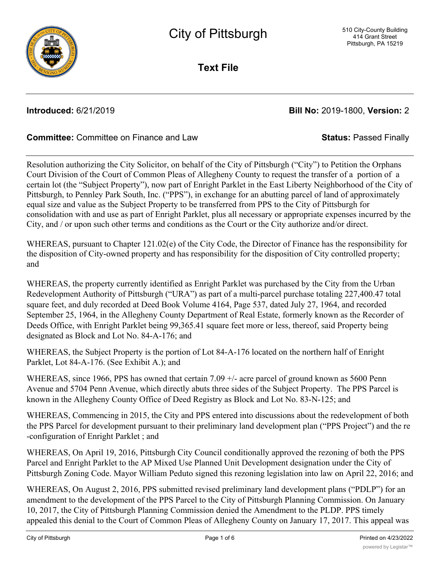

**Text File**

**Introduced:** 6/21/2019 **Bill No:** 2019-1800, **Version:** 2

# **Committee:** Committee on Finance and Law **Status:** Passed Finally

Resolution authorizing the City Solicitor, on behalf of the City of Pittsburgh ("City") to Petition the Orphans Court Division of the Court of Common Pleas of Allegheny County to request the transfer of a portion of a certain lot (the "Subject Property"), now part of Enright Parklet in the East Liberty Neighborhood of the City of Pittsburgh, to Pennley Park South, Inc. ("PPS"), in exchange for an abutting parcel of land of approximately equal size and value as the Subject Property to be transferred from PPS to the City of Pittsburgh for consolidation with and use as part of Enright Parklet, plus all necessary or appropriate expenses incurred by the City, and / or upon such other terms and conditions as the Court or the City authorize and/or direct.

WHEREAS, pursuant to Chapter 121.02(e) of the City Code, the Director of Finance has the responsibility for the disposition of City-owned property and has responsibility for the disposition of City controlled property; and

WHEREAS, the property currently identified as Enright Parklet was purchased by the City from the Urban Redevelopment Authority of Pittsburgh ("URA") as part of a multi-parcel purchase totaling 227,400.47 total square feet, and duly recorded at Deed Book Volume 4164, Page 537, dated July 27, 1964, and recorded September 25, 1964, in the Allegheny County Department of Real Estate, formerly known as the Recorder of Deeds Office, with Enright Parklet being 99,365.41 square feet more or less, thereof, said Property being designated as Block and Lot No. 84-A-176; and

WHEREAS, the Subject Property is the portion of Lot 84-A-176 located on the northern half of Enright Parklet, Lot 84-A-176. (See Exhibit A.); and

WHEREAS, since 1966, PPS has owned that certain 7.09  $+/-$  acre parcel of ground known as 5600 Penn Avenue and 5704 Penn Avenue, which directly abuts three sides of the Subject Property. The PPS Parcel is known in the Allegheny County Office of Deed Registry as Block and Lot No. 83-N-125; and

WHEREAS, Commencing in 2015, the City and PPS entered into discussions about the redevelopment of both the PPS Parcel for development pursuant to their preliminary land development plan ("PPS Project") and the re -configuration of Enright Parklet ; and

WHEREAS, On April 19, 2016, Pittsburgh City Council conditionally approved the rezoning of both the PPS Parcel and Enright Parklet to the AP Mixed Use Planned Unit Development designation under the City of Pittsburgh Zoning Code. Mayor William Peduto signed this rezoning legislation into law on April 22, 2016; and

WHEREAS, On August 2, 2016, PPS submitted revised preliminary land development plans ("PDLP") for an amendment to the development of the PPS Parcel to the City of Pittsburgh Planning Commission. On January 10, 2017, the City of Pittsburgh Planning Commission denied the Amendment to the PLDP. PPS timely appealed this denial to the Court of Common Pleas of Allegheny County on January 17, 2017. This appeal was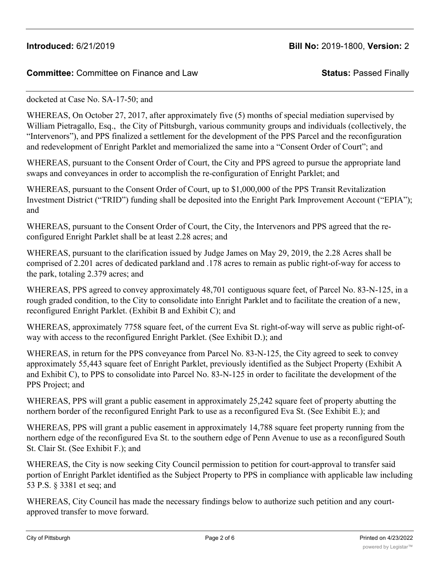# **Committee:** Committee on Finance and Law **Status:** Passed Finally

### docketed at Case No. SA-17-50; and

WHEREAS, On October 27, 2017, after approximately five (5) months of special mediation supervised by William Pietragallo, Esq., the City of Pittsburgh, various community groups and individuals (collectively, the "Intervenors"), and PPS finalized a settlement for the development of the PPS Parcel and the reconfiguration and redevelopment of Enright Parklet and memorialized the same into a "Consent Order of Court"; and

WHEREAS, pursuant to the Consent Order of Court, the City and PPS agreed to pursue the appropriate land swaps and conveyances in order to accomplish the re-configuration of Enright Parklet; and

WHEREAS, pursuant to the Consent Order of Court, up to \$1,000,000 of the PPS Transit Revitalization Investment District ("TRID") funding shall be deposited into the Enright Park Improvement Account ("EPIA"); and

WHEREAS, pursuant to the Consent Order of Court, the City, the Intervenors and PPS agreed that the reconfigured Enright Parklet shall be at least 2.28 acres; and

WHEREAS, pursuant to the clarification issued by Judge James on May 29, 2019, the 2.28 Acres shall be comprised of 2.201 acres of dedicated parkland and .178 acres to remain as public right-of-way for access to the park, totaling 2.379 acres; and

WHEREAS, PPS agreed to convey approximately 48,701 contiguous square feet, of Parcel No. 83-N-125, in a rough graded condition, to the City to consolidate into Enright Parklet and to facilitate the creation of a new, reconfigured Enright Parklet. (Exhibit B and Exhibit C); and

WHEREAS, approximately 7758 square feet, of the current Eva St. right-of-way will serve as public right-ofway with access to the reconfigured Enright Parklet. (See Exhibit D.); and

WHEREAS, in return for the PPS conveyance from Parcel No. 83-N-125, the City agreed to seek to convey approximately 55,443 square feet of Enright Parklet, previously identified as the Subject Property (Exhibit A and Exhibit C), to PPS to consolidate into Parcel No. 83-N-125 in order to facilitate the development of the PPS Project; and

WHEREAS, PPS will grant a public easement in approximately 25,242 square feet of property abutting the northern border of the reconfigured Enright Park to use as a reconfigured Eva St. (See Exhibit E.); and

WHEREAS, PPS will grant a public easement in approximately 14,788 square feet property running from the northern edge of the reconfigured Eva St. to the southern edge of Penn Avenue to use as a reconfigured South St. Clair St. (See Exhibit F.); and

WHEREAS, the City is now seeking City Council permission to petition for court-approval to transfer said portion of Enright Parklet identified as the Subject Property to PPS in compliance with applicable law including 53 P.S. § 3381 et seq; and

WHEREAS, City Council has made the necessary findings below to authorize such petition and any courtapproved transfer to move forward.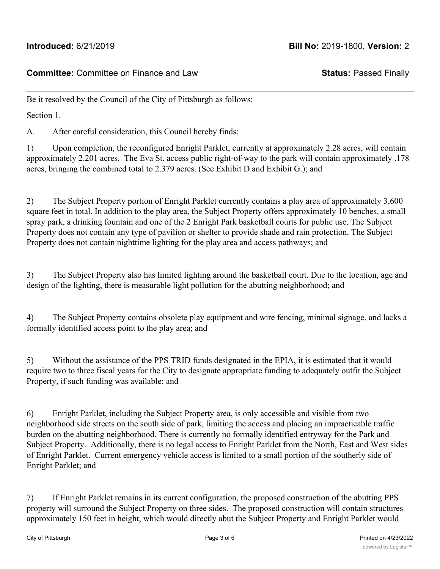**Committee:** Committee on Finance and Law **Status:** Passed Finally

Be it resolved by the Council of the City of Pittsburgh as follows:

Section 1.

A. After careful consideration, this Council hereby finds:

1) Upon completion, the reconfigured Enright Parklet, currently at approximately 2.28 acres, will contain approximately 2.201 acres. The Eva St. access public right-of-way to the park will contain approximately .178 acres, bringing the combined total to 2.379 acres. (See Exhibit D and Exhibit G.); and

2) The Subject Property portion of Enright Parklet currently contains a play area of approximately 3,600 square feet in total. In addition to the play area, the Subject Property offers approximately 10 benches, a small spray park, a drinking fountain and one of the 2 Enright Park basketball courts for public use. The Subject Property does not contain any type of pavilion or shelter to provide shade and rain protection. The Subject Property does not contain nighttime lighting for the play area and access pathways; and

3) The Subject Property also has limited lighting around the basketball court. Due to the location, age and design of the lighting, there is measurable light pollution for the abutting neighborhood; and

4) The Subject Property contains obsolete play equipment and wire fencing, minimal signage, and lacks a formally identified access point to the play area; and

5) Without the assistance of the PPS TRID funds designated in the EPIA, it is estimated that it would require two to three fiscal years for the City to designate appropriate funding to adequately outfit the Subject Property, if such funding was available; and

6) Enright Parklet, including the Subject Property area, is only accessible and visible from two neighborhood side streets on the south side of park, limiting the access and placing an impracticable traffic burden on the abutting neighborhood. There is currently no formally identified entryway for the Park and Subject Property. Additionally, there is no legal access to Enright Parklet from the North, East and West sides of Enright Parklet. Current emergency vehicle access is limited to a small portion of the southerly side of Enright Parklet; and

7) If Enright Parklet remains in its current configuration, the proposed construction of the abutting PPS property will surround the Subject Property on three sides. The proposed construction will contain structures approximately 150 feet in height, which would directly abut the Subject Property and Enright Parklet would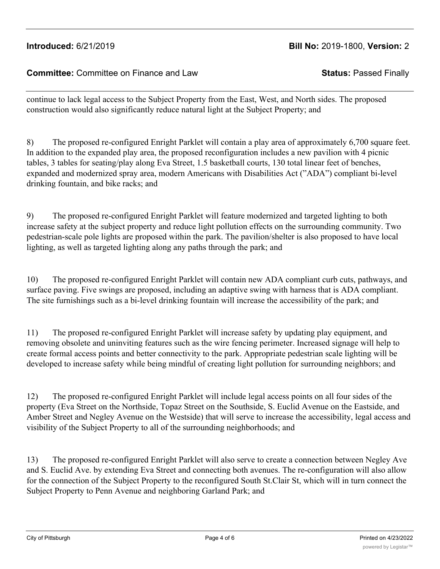# **Introduced:** 6/21/2019 **Bill No:** 2019-1800, **Version:** 2

### **Committee:** Committee on Finance and Law **Status:** Passed Finally

continue to lack legal access to the Subject Property from the East, West, and North sides. The proposed construction would also significantly reduce natural light at the Subject Property; and

8) The proposed re-configured Enright Parklet will contain a play area of approximately 6,700 square feet. In addition to the expanded play area, the proposed reconfiguration includes a new pavilion with 4 picnic tables, 3 tables for seating/play along Eva Street, 1.5 basketball courts, 130 total linear feet of benches, expanded and modernized spray area, modern Americans with Disabilities Act ("ADA") compliant bi-level drinking fountain, and bike racks; and

9) The proposed re-configured Enright Parklet will feature modernized and targeted lighting to both increase safety at the subject property and reduce light pollution effects on the surrounding community. Two pedestrian-scale pole lights are proposed within the park. The pavilion/shelter is also proposed to have local lighting, as well as targeted lighting along any paths through the park; and

10) The proposed re-configured Enright Parklet will contain new ADA compliant curb cuts, pathways, and surface paving. Five swings are proposed, including an adaptive swing with harness that is ADA compliant. The site furnishings such as a bi-level drinking fountain will increase the accessibility of the park; and

11) The proposed re-configured Enright Parklet will increase safety by updating play equipment, and removing obsolete and uninviting features such as the wire fencing perimeter. Increased signage will help to create formal access points and better connectivity to the park. Appropriate pedestrian scale lighting will be developed to increase safety while being mindful of creating light pollution for surrounding neighbors; and

12) The proposed re-configured Enright Parklet will include legal access points on all four sides of the property (Eva Street on the Northside, Topaz Street on the Southside, S. Euclid Avenue on the Eastside, and Amber Street and Negley Avenue on the Westside) that will serve to increase the accessibility, legal access and visibility of the Subject Property to all of the surrounding neighborhoods; and

13) The proposed re-configured Enright Parklet will also serve to create a connection between Negley Ave and S. Euclid Ave. by extending Eva Street and connecting both avenues. The re-configuration will also allow for the connection of the Subject Property to the reconfigured South St.Clair St, which will in turn connect the Subject Property to Penn Avenue and neighboring Garland Park; and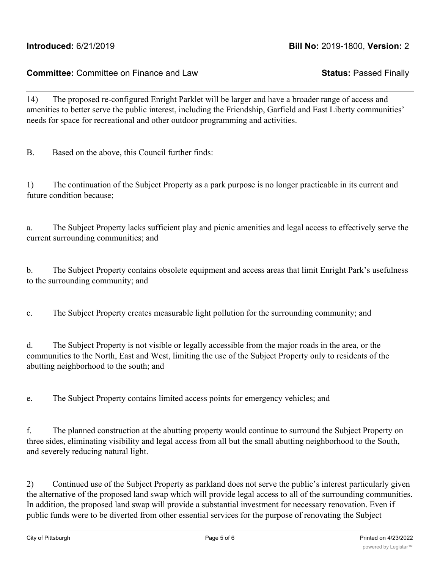# **Introduced:** 6/21/2019 **Bill No:** 2019-1800, **Version:** 2

**Committee:** Committee on Finance and Law **Status:** Passed Finally

14) The proposed re-configured Enright Parklet will be larger and have a broader range of access and amenities to better serve the public interest, including the Friendship, Garfield and East Liberty communities' needs for space for recreational and other outdoor programming and activities.

B. Based on the above, this Council further finds:

1) The continuation of the Subject Property as a park purpose is no longer practicable in its current and future condition because;

a. The Subject Property lacks sufficient play and picnic amenities and legal access to effectively serve the current surrounding communities; and

b. The Subject Property contains obsolete equipment and access areas that limit Enright Park's usefulness to the surrounding community; and

c. The Subject Property creates measurable light pollution for the surrounding community; and

d. The Subject Property is not visible or legally accessible from the major roads in the area, or the communities to the North, East and West, limiting the use of the Subject Property only to residents of the abutting neighborhood to the south; and

e. The Subject Property contains limited access points for emergency vehicles; and

f. The planned construction at the abutting property would continue to surround the Subject Property on three sides, eliminating visibility and legal access from all but the small abutting neighborhood to the South, and severely reducing natural light.

2) Continued use of the Subject Property as parkland does not serve the public's interest particularly given the alternative of the proposed land swap which will provide legal access to all of the surrounding communities. In addition, the proposed land swap will provide a substantial investment for necessary renovation. Even if public funds were to be diverted from other essential services for the purpose of renovating the Subject